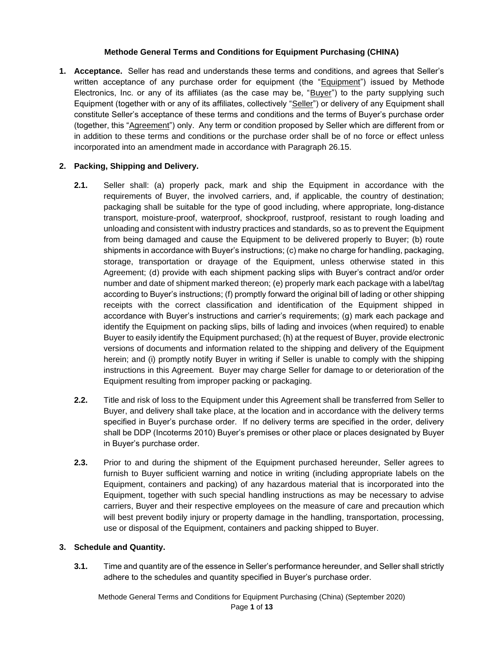### **Methode General Terms and Conditions for Equipment Purchasing (CHINA)**

**1. Acceptance.** Seller has read and understands these terms and conditions, and agrees that Seller's written acceptance of any purchase order for equipment (the "Equipment") issued by Methode Electronics, Inc. or any of its affiliates (as the case may be, "Buyer") to the party supplying such Equipment (together with or any of its affiliates, collectively "Seller") or delivery of any Equipment shall constitute Seller's acceptance of these terms and conditions and the terms of Buyer's purchase order (together, this "Agreement") only. Any term or condition proposed by Seller which are different from or in addition to these terms and conditions or the purchase order shall be of no force or effect unless incorporated into an amendment made in accordance with Paragraph 26.15.

# **2. Packing, Shipping and Delivery.**

- **2.1.** Seller shall: (a) properly pack, mark and ship the Equipment in accordance with the requirements of Buyer, the involved carriers, and, if applicable, the country of destination; packaging shall be suitable for the type of good including, where appropriate, long-distance transport, moisture-proof, waterproof, shockproof, rustproof, resistant to rough loading and unloading and consistent with industry practices and standards, so as to prevent the Equipment from being damaged and cause the Equipment to be delivered properly to Buyer; (b) route shipments in accordance with Buyer's instructions; (c) make no charge for handling, packaging, storage, transportation or drayage of the Equipment, unless otherwise stated in this Agreement; (d) provide with each shipment packing slips with Buyer's contract and/or order number and date of shipment marked thereon; (e) properly mark each package with a label/tag according to Buyer's instructions; (f) promptly forward the original bill of lading or other shipping receipts with the correct classification and identification of the Equipment shipped in accordance with Buyer's instructions and carrier's requirements; (g) mark each package and identify the Equipment on packing slips, bills of lading and invoices (when required) to enable Buyer to easily identify the Equipment purchased; (h) at the request of Buyer, provide electronic versions of documents and information related to the shipping and delivery of the Equipment herein; and (i) promptly notify Buyer in writing if Seller is unable to comply with the shipping instructions in this Agreement. Buyer may charge Seller for damage to or deterioration of the Equipment resulting from improper packing or packaging.
- **2.2.** Title and risk of loss to the Equipment under this Agreement shall be transferred from Seller to Buyer, and delivery shall take place, at the location and in accordance with the delivery terms specified in Buyer's purchase order. If no delivery terms are specified in the order, delivery shall be DDP (Incoterms 2010) Buyer's premises or other place or places designated by Buyer in Buyer's purchase order.
- **2.3.** Prior to and during the shipment of the Equipment purchased hereunder, Seller agrees to furnish to Buyer sufficient warning and notice in writing (including appropriate labels on the Equipment, containers and packing) of any hazardous material that is incorporated into the Equipment, together with such special handling instructions as may be necessary to advise carriers, Buyer and their respective employees on the measure of care and precaution which will best prevent bodily injury or property damage in the handling, transportation, processing, use or disposal of the Equipment, containers and packing shipped to Buyer.

### **3. Schedule and Quantity.**

**3.1.** Time and quantity are of the essence in Seller's performance hereunder, and Seller shall strictly adhere to the schedules and quantity specified in Buyer's purchase order.

Methode General Terms and Conditions for Equipment Purchasing (China) (September 2020) Page **1** of **13**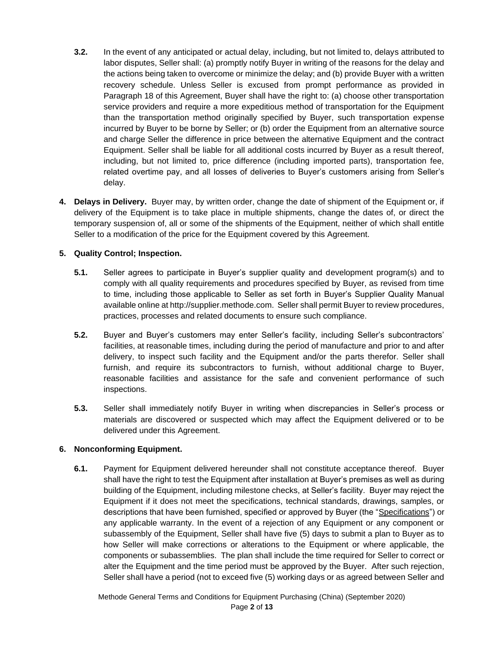- **3.2.** In the event of any anticipated or actual delay, including, but not limited to, delays attributed to labor disputes, Seller shall: (a) promptly notify Buyer in writing of the reasons for the delay and the actions being taken to overcome or minimize the delay; and (b) provide Buyer with a written recovery schedule. Unless Seller is excused from prompt performance as provided in Paragraph 18 of this Agreement, Buyer shall have the right to: (a) choose other transportation service providers and require a more expeditious method of transportation for the Equipment than the transportation method originally specified by Buyer, such transportation expense incurred by Buyer to be borne by Seller; or (b) order the Equipment from an alternative source and charge Seller the difference in price between the alternative Equipment and the contract Equipment. Seller shall be liable for all additional costs incurred by Buyer as a result thereof, including, but not limited to, price difference (including imported parts), transportation fee, related overtime pay, and all losses of deliveries to Buyer's customers arising from Seller's delay.
- **4. Delays in Delivery.** Buyer may, by written order, change the date of shipment of the Equipment or, if delivery of the Equipment is to take place in multiple shipments, change the dates of, or direct the temporary suspension of, all or some of the shipments of the Equipment, neither of which shall entitle Seller to a modification of the price for the Equipment covered by this Agreement.

## **5. Quality Control; Inspection.**

- **5.1.** Seller agrees to participate in Buyer's supplier quality and development program(s) and to comply with all quality requirements and procedures specified by Buyer, as revised from time to time, including those applicable to Seller as set forth in Buyer's Supplier Quality Manual available online at http://supplier.methode.com. Seller shall permit Buyer to review procedures, practices, processes and related documents to ensure such compliance.
- **5.2.** Buyer and Buyer's customers may enter Seller's facility, including Seller's subcontractors' facilities, at reasonable times, including during the period of manufacture and prior to and after delivery, to inspect such facility and the Equipment and/or the parts therefor. Seller shall furnish, and require its subcontractors to furnish, without additional charge to Buyer, reasonable facilities and assistance for the safe and convenient performance of such inspections.
- **5.3.** Seller shall immediately notify Buyer in writing when discrepancies in Seller's process or materials are discovered or suspected which may affect the Equipment delivered or to be delivered under this Agreement.

### **6. Nonconforming Equipment.**

**6.1.** Payment for Equipment delivered hereunder shall not constitute acceptance thereof. Buyer shall have the right to test the Equipment after installation at Buyer's premises as well as during building of the Equipment, including milestone checks, at Seller's facility. Buyer may reject the Equipment if it does not meet the specifications, technical standards, drawings, samples, or descriptions that have been furnished, specified or approved by Buyer (the "Specifications") or any applicable warranty. In the event of a rejection of any Equipment or any component or subassembly of the Equipment, Seller shall have five (5) days to submit a plan to Buyer as to how Seller will make corrections or alterations to the Equipment or where applicable, the components or subassemblies. The plan shall include the time required for Seller to correct or alter the Equipment and the time period must be approved by the Buyer. After such rejection, Seller shall have a period (not to exceed five (5) working days or as agreed between Seller and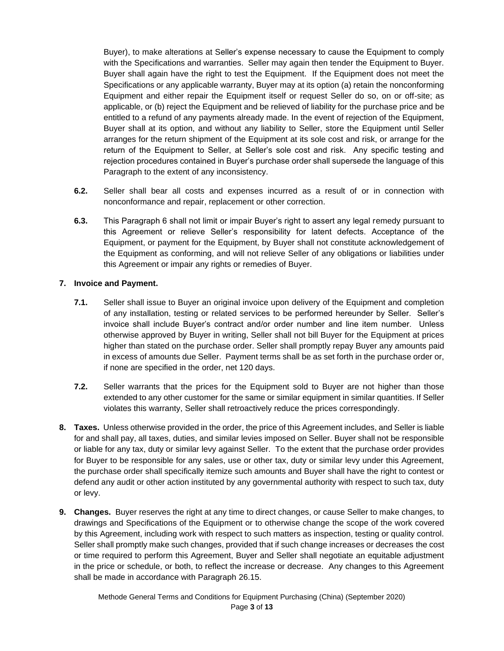Buyer), to make alterations at Seller's expense necessary to cause the Equipment to comply with the Specifications and warranties. Seller may again then tender the Equipment to Buyer. Buyer shall again have the right to test the Equipment. If the Equipment does not meet the Specifications or any applicable warranty, Buyer may at its option (a) retain the nonconforming Equipment and either repair the Equipment itself or request Seller do so, on or off-site; as applicable, or (b) reject the Equipment and be relieved of liability for the purchase price and be entitled to a refund of any payments already made. In the event of rejection of the Equipment, Buyer shall at its option, and without any liability to Seller, store the Equipment until Seller arranges for the return shipment of the Equipment at its sole cost and risk, or arrange for the return of the Equipment to Seller, at Seller's sole cost and risk. Any specific testing and rejection procedures contained in Buyer's purchase order shall supersede the language of this Paragraph to the extent of any inconsistency.

- **6.2.** Seller shall bear all costs and expenses incurred as a result of or in connection with nonconformance and repair, replacement or other correction.
- **6.3.** This Paragraph 6 shall not limit or impair Buyer's right to assert any legal remedy pursuant to this Agreement or relieve Seller's responsibility for latent defects. Acceptance of the Equipment, or payment for the Equipment, by Buyer shall not constitute acknowledgement of the Equipment as conforming, and will not relieve Seller of any obligations or liabilities under this Agreement or impair any rights or remedies of Buyer.

### **7. Invoice and Payment.**

- **7.1.** Seller shall issue to Buyer an original invoice upon delivery of the Equipment and completion of any installation, testing or related services to be performed hereunder by Seller. Seller's invoice shall include Buyer's contract and/or order number and line item number. Unless otherwise approved by Buyer in writing, Seller shall not bill Buyer for the Equipment at prices higher than stated on the purchase order. Seller shall promptly repay Buyer any amounts paid in excess of amounts due Seller. Payment terms shall be as set forth in the purchase order or, if none are specified in the order, net 120 days.
- **7.2.** Seller warrants that the prices for the Equipment sold to Buyer are not higher than those extended to any other customer for the same or similar equipment in similar quantities. If Seller violates this warranty, Seller shall retroactively reduce the prices correspondingly.
- **8. Taxes.** Unless otherwise provided in the order, the price of this Agreement includes, and Seller is liable for and shall pay, all taxes, duties, and similar levies imposed on Seller. Buyer shall not be responsible or liable for any tax, duty or similar levy against Seller. To the extent that the purchase order provides for Buyer to be responsible for any sales, use or other tax, duty or similar levy under this Agreement, the purchase order shall specifically itemize such amounts and Buyer shall have the right to contest or defend any audit or other action instituted by any governmental authority with respect to such tax, duty or levy.
- **9. Changes.** Buyer reserves the right at any time to direct changes, or cause Seller to make changes, to drawings and Specifications of the Equipment or to otherwise change the scope of the work covered by this Agreement, including work with respect to such matters as inspection, testing or quality control. Seller shall promptly make such changes, provided that if such change increases or decreases the cost or time required to perform this Agreement, Buyer and Seller shall negotiate an equitable adjustment in the price or schedule, or both, to reflect the increase or decrease. Any changes to this Agreement shall be made in accordance with Paragraph 26.15.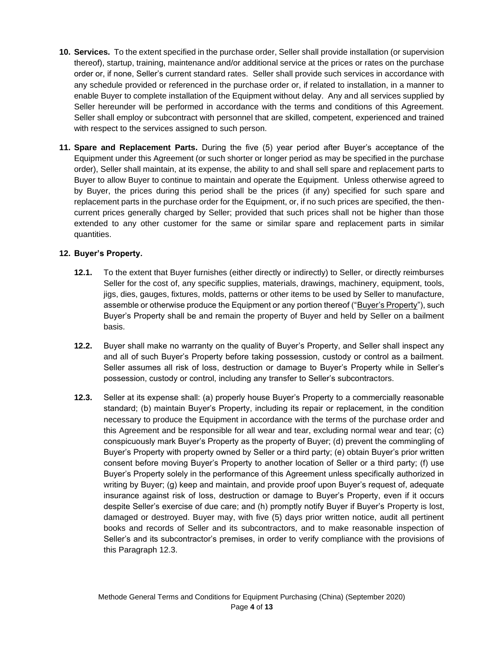- **10. Services.** To the extent specified in the purchase order, Seller shall provide installation (or supervision thereof), startup, training, maintenance and/or additional service at the prices or rates on the purchase order or, if none, Seller's current standard rates. Seller shall provide such services in accordance with any schedule provided or referenced in the purchase order or, if related to installation, in a manner to enable Buyer to complete installation of the Equipment without delay. Any and all services supplied by Seller hereunder will be performed in accordance with the terms and conditions of this Agreement. Seller shall employ or subcontract with personnel that are skilled, competent, experienced and trained with respect to the services assigned to such person.
- **11. Spare and Replacement Parts.** During the five (5) year period after Buyer's acceptance of the Equipment under this Agreement (or such shorter or longer period as may be specified in the purchase order), Seller shall maintain, at its expense, the ability to and shall sell spare and replacement parts to Buyer to allow Buyer to continue to maintain and operate the Equipment. Unless otherwise agreed to by Buyer, the prices during this period shall be the prices (if any) specified for such spare and replacement parts in the purchase order for the Equipment, or, if no such prices are specified, the thencurrent prices generally charged by Seller; provided that such prices shall not be higher than those extended to any other customer for the same or similar spare and replacement parts in similar quantities.

# **12. Buyer's Property.**

- **12.1.** To the extent that Buyer furnishes (either directly or indirectly) to Seller, or directly reimburses Seller for the cost of, any specific supplies, materials, drawings, machinery, equipment, tools, jigs, dies, gauges, fixtures, molds, patterns or other items to be used by Seller to manufacture, assemble or otherwise produce the Equipment or any portion thereof ("Buyer's Property"), such Buyer's Property shall be and remain the property of Buyer and held by Seller on a bailment basis.
- **12.2.** Buyer shall make no warranty on the quality of Buyer's Property, and Seller shall inspect any and all of such Buyer's Property before taking possession, custody or control as a bailment. Seller assumes all risk of loss, destruction or damage to Buyer's Property while in Seller's possession, custody or control, including any transfer to Seller's subcontractors.
- **12.3.** Seller at its expense shall: (a) properly house Buyer's Property to a commercially reasonable standard; (b) maintain Buyer's Property, including its repair or replacement, in the condition necessary to produce the Equipment in accordance with the terms of the purchase order and this Agreement and be responsible for all wear and tear, excluding normal wear and tear; (c) conspicuously mark Buyer's Property as the property of Buyer; (d) prevent the commingling of Buyer's Property with property owned by Seller or a third party; (e) obtain Buyer's prior written consent before moving Buyer's Property to another location of Seller or a third party; (f) use Buyer's Property solely in the performance of this Agreement unless specifically authorized in writing by Buyer; (g) keep and maintain, and provide proof upon Buyer's request of, adequate insurance against risk of loss, destruction or damage to Buyer's Property, even if it occurs despite Seller's exercise of due care; and (h) promptly notify Buyer if Buyer's Property is lost, damaged or destroyed. Buyer may, with five (5) days prior written notice, audit all pertinent books and records of Seller and its subcontractors, and to make reasonable inspection of Seller's and its subcontractor's premises, in order to verify compliance with the provisions of this Paragraph 12.3.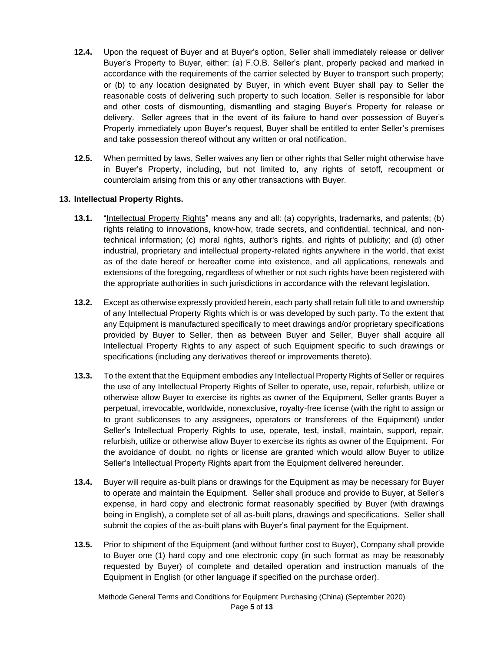- **12.4.** Upon the request of Buyer and at Buyer's option, Seller shall immediately release or deliver Buyer's Property to Buyer, either: (a) F.O.B. Seller's plant, properly packed and marked in accordance with the requirements of the carrier selected by Buyer to transport such property; or (b) to any location designated by Buyer, in which event Buyer shall pay to Seller the reasonable costs of delivering such property to such location. Seller is responsible for labor and other costs of dismounting, dismantling and staging Buyer's Property for release or delivery. Seller agrees that in the event of its failure to hand over possession of Buyer's Property immediately upon Buyer's request, Buyer shall be entitled to enter Seller's premises and take possession thereof without any written or oral notification.
- **12.5.** When permitted by laws, Seller waives any lien or other rights that Seller might otherwise have in Buyer's Property, including, but not limited to, any rights of setoff, recoupment or counterclaim arising from this or any other transactions with Buyer.

### **13. Intellectual Property Rights.**

- **13.1.** "Intellectual Property Rights" means any and all: (a) copyrights, trademarks, and patents; (b) rights relating to innovations, know-how, trade secrets, and confidential, technical, and nontechnical information; (c) moral rights, author's rights, and rights of publicity; and (d) other industrial, proprietary and intellectual property-related rights anywhere in the world, that exist as of the date hereof or hereafter come into existence, and all applications, renewals and extensions of the foregoing, regardless of whether or not such rights have been registered with the appropriate authorities in such jurisdictions in accordance with the relevant legislation.
- **13.2.** Except as otherwise expressly provided herein, each party shall retain full title to and ownership of any Intellectual Property Rights which is or was developed by such party. To the extent that any Equipment is manufactured specifically to meet drawings and/or proprietary specifications provided by Buyer to Seller, then as between Buyer and Seller, Buyer shall acquire all Intellectual Property Rights to any aspect of such Equipment specific to such drawings or specifications (including any derivatives thereof or improvements thereto).
- **13.3.** To the extent that the Equipment embodies any Intellectual Property Rights of Seller or requires the use of any Intellectual Property Rights of Seller to operate, use, repair, refurbish, utilize or otherwise allow Buyer to exercise its rights as owner of the Equipment, Seller grants Buyer a perpetual, irrevocable, worldwide, nonexclusive, royalty-free license (with the right to assign or to grant sublicenses to any assignees, operators or transferees of the Equipment) under Seller's Intellectual Property Rights to use, operate, test, install, maintain, support, repair, refurbish, utilize or otherwise allow Buyer to exercise its rights as owner of the Equipment. For the avoidance of doubt, no rights or license are granted which would allow Buyer to utilize Seller's Intellectual Property Rights apart from the Equipment delivered hereunder.
- **13.4.** Buyer will require as-built plans or drawings for the Equipment as may be necessary for Buyer to operate and maintain the Equipment. Seller shall produce and provide to Buyer, at Seller's expense, in hard copy and electronic format reasonably specified by Buyer (with drawings being in English), a complete set of all as-built plans, drawings and specifications. Seller shall submit the copies of the as-built plans with Buyer's final payment for the Equipment.
- **13.5.** Prior to shipment of the Equipment (and without further cost to Buyer), Company shall provide to Buyer one (1) hard copy and one electronic copy (in such format as may be reasonably requested by Buyer) of complete and detailed operation and instruction manuals of the Equipment in English (or other language if specified on the purchase order).

Methode General Terms and Conditions for Equipment Purchasing (China) (September 2020) Page **5** of **13**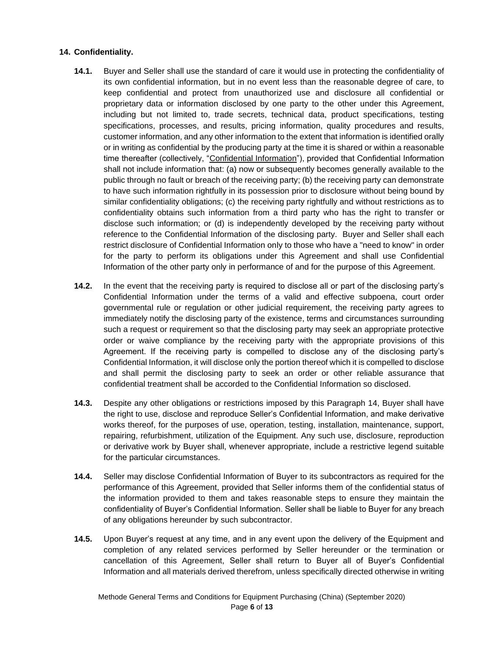### **14. Confidentiality.**

- **14.1.** Buyer and Seller shall use the standard of care it would use in protecting the confidentiality of its own confidential information, but in no event less than the reasonable degree of care, to keep confidential and protect from unauthorized use and disclosure all confidential or proprietary data or information disclosed by one party to the other under this Agreement, including but not limited to, trade secrets, technical data, product specifications, testing specifications, processes, and results, pricing information, quality procedures and results, customer information, and any other information to the extent that information is identified orally or in writing as confidential by the producing party at the time it is shared or within a reasonable time thereafter (collectively, "Confidential Information"), provided that Confidential Information shall not include information that: (a) now or subsequently becomes generally available to the public through no fault or breach of the receiving party; (b) the receiving party can demonstrate to have such information rightfully in its possession prior to disclosure without being bound by similar confidentiality obligations; (c) the receiving party rightfully and without restrictions as to confidentiality obtains such information from a third party who has the right to transfer or disclose such information; or (d) is independently developed by the receiving party without reference to the Confidential Information of the disclosing party. Buyer and Seller shall each restrict disclosure of Confidential Information only to those who have a "need to know" in order for the party to perform its obligations under this Agreement and shall use Confidential Information of the other party only in performance of and for the purpose of this Agreement.
- **14.2.** In the event that the receiving party is required to disclose all or part of the disclosing party's Confidential Information under the terms of a valid and effective subpoena, court order governmental rule or regulation or other judicial requirement, the receiving party agrees to immediately notify the disclosing party of the existence, terms and circumstances surrounding such a request or requirement so that the disclosing party may seek an appropriate protective order or waive compliance by the receiving party with the appropriate provisions of this Agreement. If the receiving party is compelled to disclose any of the disclosing party's Confidential Information, it will disclose only the portion thereof which it is compelled to disclose and shall permit the disclosing party to seek an order or other reliable assurance that confidential treatment shall be accorded to the Confidential Information so disclosed.
- **14.3.** Despite any other obligations or restrictions imposed by this Paragraph 14, Buyer shall have the right to use, disclose and reproduce Seller's Confidential Information, and make derivative works thereof, for the purposes of use, operation, testing, installation, maintenance, support, repairing, refurbishment, utilization of the Equipment. Any such use, disclosure, reproduction or derivative work by Buyer shall, whenever appropriate, include a restrictive legend suitable for the particular circumstances.
- **14.4.** Seller may disclose Confidential Information of Buyer to its subcontractors as required for the performance of this Agreement, provided that Seller informs them of the confidential status of the information provided to them and takes reasonable steps to ensure they maintain the confidentiality of Buyer's Confidential Information. Seller shall be liable to Buyer for any breach of any obligations hereunder by such subcontractor.
- **14.5.** Upon Buyer's request at any time, and in any event upon the delivery of the Equipment and completion of any related services performed by Seller hereunder or the termination or cancellation of this Agreement, Seller shall return to Buyer all of Buyer's Confidential Information and all materials derived therefrom, unless specifically directed otherwise in writing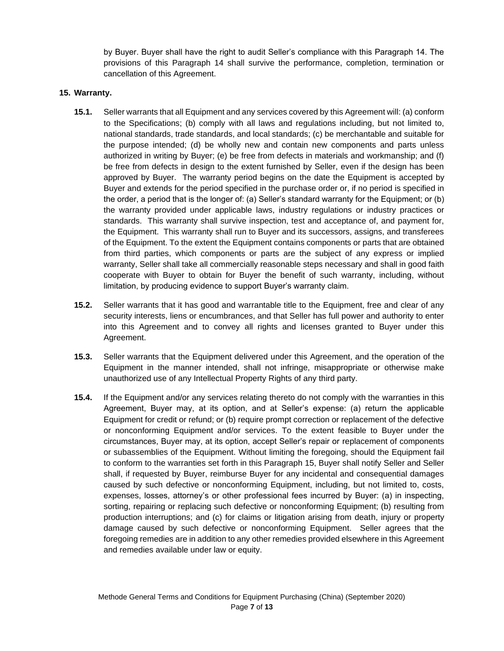by Buyer. Buyer shall have the right to audit Seller's compliance with this Paragraph 14. The provisions of this Paragraph 14 shall survive the performance, completion, termination or cancellation of this Agreement.

#### **15. Warranty.**

- **15.1.** Seller warrants that all Equipment and any services covered by this Agreement will: (a) conform to the Specifications; (b) comply with all laws and regulations including, but not limited to, national standards, trade standards, and local standards; (c) be merchantable and suitable for the purpose intended; (d) be wholly new and contain new components and parts unless authorized in writing by Buyer; (e) be free from defects in materials and workmanship; and (f) be free from defects in design to the extent furnished by Seller, even if the design has been approved by Buyer. The warranty period begins on the date the Equipment is accepted by Buyer and extends for the period specified in the purchase order or, if no period is specified in the order, a period that is the longer of: (a) Seller's standard warranty for the Equipment; or (b) the warranty provided under applicable laws, industry regulations or industry practices or standards. This warranty shall survive inspection, test and acceptance of, and payment for, the Equipment. This warranty shall run to Buyer and its successors, assigns, and transferees of the Equipment. To the extent the Equipment contains components or parts that are obtained from third parties, which components or parts are the subject of any express or implied warranty, Seller shall take all commercially reasonable steps necessary and shall in good faith cooperate with Buyer to obtain for Buyer the benefit of such warranty, including, without limitation, by producing evidence to support Buyer's warranty claim.
- **15.2.** Seller warrants that it has good and warrantable title to the Equipment, free and clear of any security interests, liens or encumbrances, and that Seller has full power and authority to enter into this Agreement and to convey all rights and licenses granted to Buyer under this Agreement.
- **15.3.** Seller warrants that the Equipment delivered under this Agreement, and the operation of the Equipment in the manner intended, shall not infringe, misappropriate or otherwise make unauthorized use of any Intellectual Property Rights of any third party.
- **15.4.** If the Equipment and/or any services relating thereto do not comply with the warranties in this Agreement, Buyer may, at its option, and at Seller's expense: (a) return the applicable Equipment for credit or refund; or (b) require prompt correction or replacement of the defective or nonconforming Equipment and/or services. To the extent feasible to Buyer under the circumstances, Buyer may, at its option, accept Seller's repair or replacement of components or subassemblies of the Equipment. Without limiting the foregoing, should the Equipment fail to conform to the warranties set forth in this Paragraph 15, Buyer shall notify Seller and Seller shall, if requested by Buyer, reimburse Buyer for any incidental and consequential damages caused by such defective or nonconforming Equipment, including, but not limited to, costs, expenses, losses, attorney's or other professional fees incurred by Buyer: (a) in inspecting, sorting, repairing or replacing such defective or nonconforming Equipment; (b) resulting from production interruptions; and (c) for claims or litigation arising from death, injury or property damage caused by such defective or nonconforming Equipment. Seller agrees that the foregoing remedies are in addition to any other remedies provided elsewhere in this Agreement and remedies available under law or equity.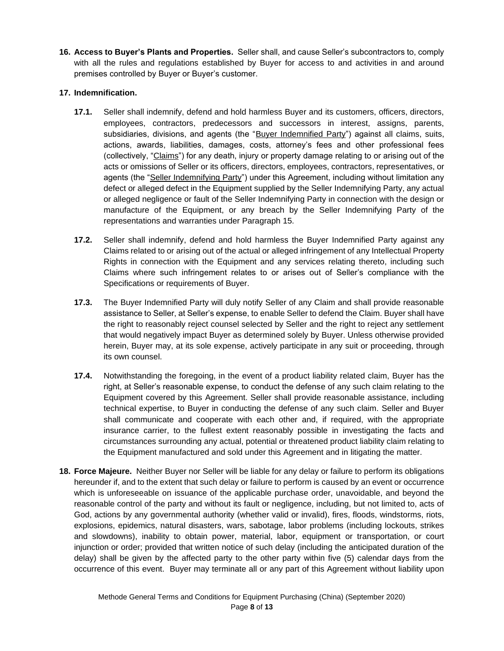**16. Access to Buyer's Plants and Properties.** Seller shall, and cause Seller's subcontractors to, comply with all the rules and regulations established by Buyer for access to and activities in and around premises controlled by Buyer or Buyer's customer.

## **17. Indemnification.**

- **17.1.** Seller shall indemnify, defend and hold harmless Buyer and its customers, officers, directors, employees, contractors, predecessors and successors in interest, assigns, parents, subsidiaries, divisions, and agents (the "Buyer Indemnified Party") against all claims, suits, actions, awards, liabilities, damages, costs, attorney's fees and other professional fees (collectively, "Claims") for any death, injury or property damage relating to or arising out of the acts or omissions of Seller or its officers, directors, employees, contractors, representatives, or agents (the "Seller Indemnifying Party") under this Agreement, including without limitation any defect or alleged defect in the Equipment supplied by the Seller Indemnifying Party, any actual or alleged negligence or fault of the Seller Indemnifying Party in connection with the design or manufacture of the Equipment, or any breach by the Seller Indemnifying Party of the representations and warranties under Paragraph 15.
- **17.2.** Seller shall indemnify, defend and hold harmless the Buyer Indemnified Party against any Claims related to or arising out of the actual or alleged infringement of any Intellectual Property Rights in connection with the Equipment and any services relating thereto, including such Claims where such infringement relates to or arises out of Seller's compliance with the Specifications or requirements of Buyer.
- **17.3.** The Buyer Indemnified Party will duly notify Seller of any Claim and shall provide reasonable assistance to Seller, at Seller's expense, to enable Seller to defend the Claim. Buyer shall have the right to reasonably reject counsel selected by Seller and the right to reject any settlement that would negatively impact Buyer as determined solely by Buyer. Unless otherwise provided herein, Buyer may, at its sole expense, actively participate in any suit or proceeding, through its own counsel.
- **17.4.** Notwithstanding the foregoing, in the event of a product liability related claim, Buyer has the right, at Seller's reasonable expense, to conduct the defense of any such claim relating to the Equipment covered by this Agreement. Seller shall provide reasonable assistance, including technical expertise, to Buyer in conducting the defense of any such claim. Seller and Buyer shall communicate and cooperate with each other and, if required, with the appropriate insurance carrier, to the fullest extent reasonably possible in investigating the facts and circumstances surrounding any actual, potential or threatened product liability claim relating to the Equipment manufactured and sold under this Agreement and in litigating the matter.
- **18. Force Majeure.** Neither Buyer nor Seller will be liable for any delay or failure to perform its obligations hereunder if, and to the extent that such delay or failure to perform is caused by an event or occurrence which is unforeseeable on issuance of the applicable purchase order, unavoidable, and beyond the reasonable control of the party and without its fault or negligence, including, but not limited to, acts of God, actions by any governmental authority (whether valid or invalid), fires, floods, windstorms, riots, explosions, epidemics, natural disasters, wars, sabotage, labor problems (including lockouts, strikes and slowdowns), inability to obtain power, material, labor, equipment or transportation, or court injunction or order; provided that written notice of such delay (including the anticipated duration of the delay) shall be given by the affected party to the other party within five (5) calendar days from the occurrence of this event. Buyer may terminate all or any part of this Agreement without liability upon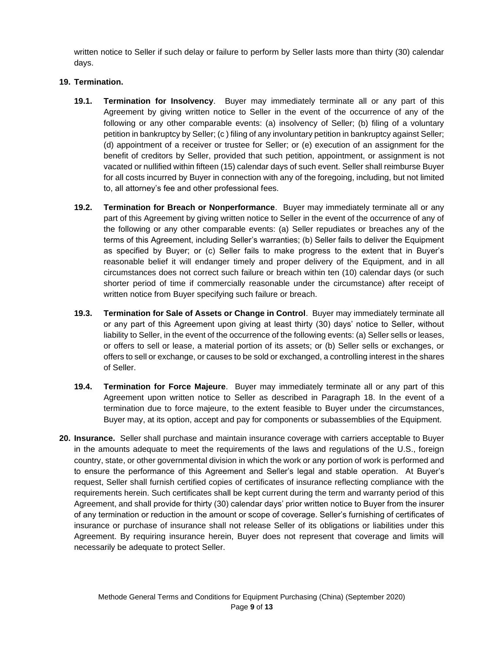written notice to Seller if such delay or failure to perform by Seller lasts more than thirty (30) calendar days.

# **19. Termination.**

- **19.1. Termination for Insolvency**. Buyer may immediately terminate all or any part of this Agreement by giving written notice to Seller in the event of the occurrence of any of the following or any other comparable events: (a) insolvency of Seller; (b) filing of a voluntary petition in bankruptcy by Seller; (c ) filing of any involuntary petition in bankruptcy against Seller; (d) appointment of a receiver or trustee for Seller; or (e) execution of an assignment for the benefit of creditors by Seller, provided that such petition, appointment, or assignment is not vacated or nullified within fifteen (15) calendar days of such event. Seller shall reimburse Buyer for all costs incurred by Buyer in connection with any of the foregoing, including, but not limited to, all attorney's fee and other professional fees.
- **19.2. Termination for Breach or Nonperformance**. Buyer may immediately terminate all or any part of this Agreement by giving written notice to Seller in the event of the occurrence of any of the following or any other comparable events: (a) Seller repudiates or breaches any of the terms of this Agreement, including Seller's warranties; (b) Seller fails to deliver the Equipment as specified by Buyer; or (c) Seller fails to make progress to the extent that in Buyer's reasonable belief it will endanger timely and proper delivery of the Equipment, and in all circumstances does not correct such failure or breach within ten (10) calendar days (or such shorter period of time if commercially reasonable under the circumstance) after receipt of written notice from Buyer specifying such failure or breach.
- **19.3. Termination for Sale of Assets or Change in Control**. Buyer may immediately terminate all or any part of this Agreement upon giving at least thirty (30) days' notice to Seller, without liability to Seller, in the event of the occurrence of the following events: (a) Seller sells or leases, or offers to sell or lease, a material portion of its assets; or (b) Seller sells or exchanges, or offers to sell or exchange, or causes to be sold or exchanged, a controlling interest in the shares of Seller.
- **19.4. Termination for Force Majeure**. Buyer may immediately terminate all or any part of this Agreement upon written notice to Seller as described in Paragraph 18. In the event of a termination due to force majeure, to the extent feasible to Buyer under the circumstances, Buyer may, at its option, accept and pay for components or subassemblies of the Equipment.
- **20. Insurance.** Seller shall purchase and maintain insurance coverage with carriers acceptable to Buyer in the amounts adequate to meet the requirements of the laws and regulations of the U.S., foreign country, state, or other governmental division in which the work or any portion of work is performed and to ensure the performance of this Agreement and Seller's legal and stable operation. At Buyer's request, Seller shall furnish certified copies of certificates of insurance reflecting compliance with the requirements herein. Such certificates shall be kept current during the term and warranty period of this Agreement, and shall provide for thirty (30) calendar days' prior written notice to Buyer from the insurer of any termination or reduction in the amount or scope of coverage. Seller's furnishing of certificates of insurance or purchase of insurance shall not release Seller of its obligations or liabilities under this Agreement. By requiring insurance herein, Buyer does not represent that coverage and limits will necessarily be adequate to protect Seller.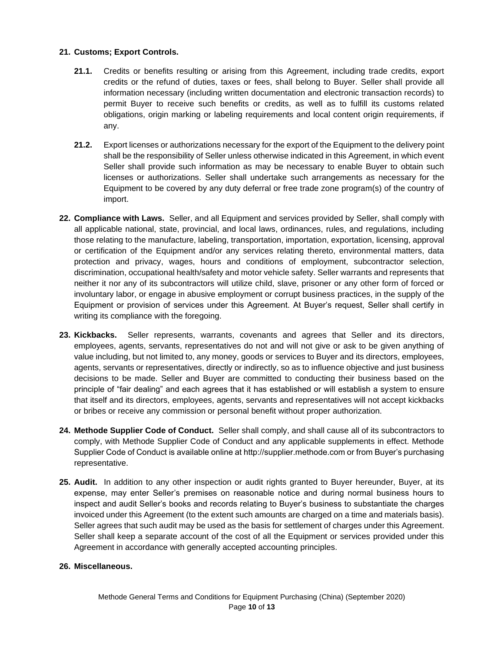### **21. Customs; Export Controls.**

- **21.1.** Credits or benefits resulting or arising from this Agreement, including trade credits, export credits or the refund of duties, taxes or fees, shall belong to Buyer. Seller shall provide all information necessary (including written documentation and electronic transaction records) to permit Buyer to receive such benefits or credits, as well as to fulfill its customs related obligations, origin marking or labeling requirements and local content origin requirements, if any.
- **21.2.** Export licenses or authorizations necessary for the export of the Equipment to the delivery point shall be the responsibility of Seller unless otherwise indicated in this Agreement, in which event Seller shall provide such information as may be necessary to enable Buyer to obtain such licenses or authorizations. Seller shall undertake such arrangements as necessary for the Equipment to be covered by any duty deferral or free trade zone program(s) of the country of import.
- **22. Compliance with Laws.** Seller, and all Equipment and services provided by Seller, shall comply with all applicable national, state, provincial, and local laws, ordinances, rules, and regulations, including those relating to the manufacture, labeling, transportation, importation, exportation, licensing, approval or certification of the Equipment and/or any services relating thereto, environmental matters, data protection and privacy, wages, hours and conditions of employment, subcontractor selection, discrimination, occupational health/safety and motor vehicle safety. Seller warrants and represents that neither it nor any of its subcontractors will utilize child, slave, prisoner or any other form of forced or involuntary labor, or engage in abusive employment or corrupt business practices, in the supply of the Equipment or provision of services under this Agreement. At Buyer's request, Seller shall certify in writing its compliance with the foregoing.
- **23. Kickbacks.** Seller represents, warrants, covenants and agrees that Seller and its directors, employees, agents, servants, representatives do not and will not give or ask to be given anything of value including, but not limited to, any money, goods or services to Buyer and its directors, employees, agents, servants or representatives, directly or indirectly, so as to influence objective and just business decisions to be made. Seller and Buyer are committed to conducting their business based on the principle of "fair dealing" and each agrees that it has established or will establish a system to ensure that itself and its directors, employees, agents, servants and representatives will not accept kickbacks or bribes or receive any commission or personal benefit without proper authorization.
- **24. Methode Supplier Code of Conduct.** Seller shall comply, and shall cause all of its subcontractors to comply, with Methode Supplier Code of Conduct and any applicable supplements in effect. Methode Supplier Code of Conduct is available online at http://supplier.methode.com or from Buyer's purchasing representative.
- **25. Audit.** In addition to any other inspection or audit rights granted to Buyer hereunder, Buyer, at its expense, may enter Seller's premises on reasonable notice and during normal business hours to inspect and audit Seller's books and records relating to Buyer's business to substantiate the charges invoiced under this Agreement (to the extent such amounts are charged on a time and materials basis). Seller agrees that such audit may be used as the basis for settlement of charges under this Agreement. Seller shall keep a separate account of the cost of all the Equipment or services provided under this Agreement in accordance with generally accepted accounting principles.

### **26. Miscellaneous.**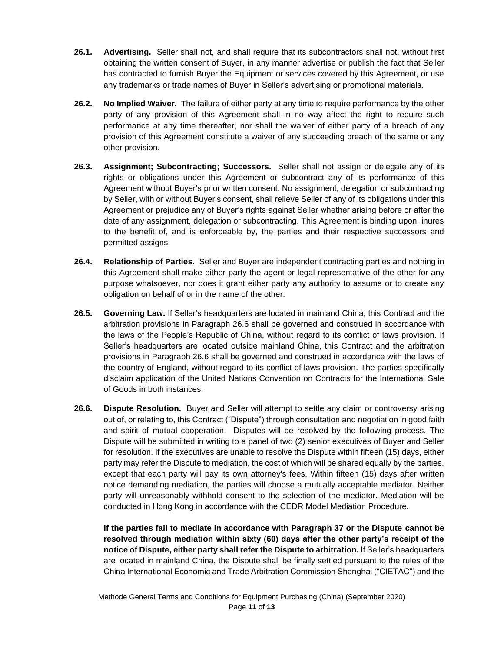- **26.1. Advertising.** Seller shall not, and shall require that its subcontractors shall not, without first obtaining the written consent of Buyer, in any manner advertise or publish the fact that Seller has contracted to furnish Buyer the Equipment or services covered by this Agreement, or use any trademarks or trade names of Buyer in Seller's advertising or promotional materials.
- **26.2. No Implied Waiver.** The failure of either party at any time to require performance by the other party of any provision of this Agreement shall in no way affect the right to require such performance at any time thereafter, nor shall the waiver of either party of a breach of any provision of this Agreement constitute a waiver of any succeeding breach of the same or any other provision.
- **26.3. Assignment; Subcontracting; Successors.** Seller shall not assign or delegate any of its rights or obligations under this Agreement or subcontract any of its performance of this Agreement without Buyer's prior written consent. No assignment, delegation or subcontracting by Seller, with or without Buyer's consent, shall relieve Seller of any of its obligations under this Agreement or prejudice any of Buyer's rights against Seller whether arising before or after the date of any assignment, delegation or subcontracting. This Agreement is binding upon, inures to the benefit of, and is enforceable by, the parties and their respective successors and permitted assigns.
- **26.4. Relationship of Parties.** Seller and Buyer are independent contracting parties and nothing in this Agreement shall make either party the agent or legal representative of the other for any purpose whatsoever, nor does it grant either party any authority to assume or to create any obligation on behalf of or in the name of the other.
- **26.5. Governing Law.** If Seller's headquarters are located in mainland China, this Contract and the arbitration provisions in Paragraph 26.6 shall be governed and construed in accordance with the laws of the People's Republic of China, without regard to its conflict of laws provision. If Seller's headquarters are located outside mainland China, this Contract and the arbitration provisions in Paragraph 26.6 shall be governed and construed in accordance with the laws of the country of England, without regard to its conflict of laws provision. The parties specifically disclaim application of the United Nations Convention on Contracts for the International Sale of Goods in both instances.
- **26.6. Dispute Resolution.** Buyer and Seller will attempt to settle any claim or controversy arising out of, or relating to, this Contract ("Dispute") through consultation and negotiation in good faith and spirit of mutual cooperation. Disputes will be resolved by the following process. The Dispute will be submitted in writing to a panel of two (2) senior executives of Buyer and Seller for resolution. If the executives are unable to resolve the Dispute within fifteen (15) days, either party may refer the Dispute to mediation, the cost of which will be shared equally by the parties, except that each party will pay its own attorney's fees. Within fifteen (15) days after written notice demanding mediation, the parties will choose a mutually acceptable mediator. Neither party will unreasonably withhold consent to the selection of the mediator. Mediation will be conducted in Hong Kong in accordance with the CEDR Model Mediation Procedure.

**If the parties fail to mediate in accordance with Paragraph 37 or the Dispute cannot be resolved through mediation within sixty (60) days after the other party's receipt of the notice of Dispute, either party shall refer the Dispute to arbitration.** If Seller's headquarters are located in mainland China, the Dispute shall be finally settled pursuant to the rules of the China International Economic and Trade Arbitration Commission Shanghai ("CIETAC") and the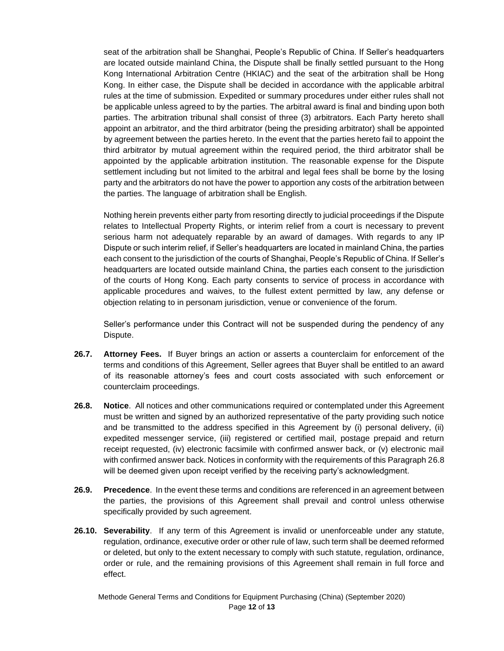seat of the arbitration shall be Shanghai, People's Republic of China. If Seller's headquarters are located outside mainland China, the Dispute shall be finally settled pursuant to the Hong Kong International Arbitration Centre (HKIAC) and the seat of the arbitration shall be Hong Kong. In either case, the Dispute shall be decided in accordance with the applicable arbitral rules at the time of submission. Expedited or summary procedures under either rules shall not be applicable unless agreed to by the parties. The arbitral award is final and binding upon both parties. The arbitration tribunal shall consist of three (3) arbitrators. Each Party hereto shall appoint an arbitrator, and the third arbitrator (being the presiding arbitrator) shall be appointed by agreement between the parties hereto. In the event that the parties hereto fail to appoint the third arbitrator by mutual agreement within the required period, the third arbitrator shall be appointed by the applicable arbitration institution. The reasonable expense for the Dispute settlement including but not limited to the arbitral and legal fees shall be borne by the losing party and the arbitrators do not have the power to apportion any costs of the arbitration between the parties. The language of arbitration shall be English.

Nothing herein prevents either party from resorting directly to judicial proceedings if the Dispute relates to Intellectual Property Rights, or interim relief from a court is necessary to prevent serious harm not adequately reparable by an award of damages. With regards to any IP Dispute or such interim relief, if Seller's headquarters are located in mainland China, the parties each consent to the jurisdiction of the courts of Shanghai, People's Republic of China. If Seller's headquarters are located outside mainland China, the parties each consent to the jurisdiction of the courts of Hong Kong. Each party consents to service of process in accordance with applicable procedures and waives, to the fullest extent permitted by law, any defense or objection relating to in personam jurisdiction, venue or convenience of the forum.

Seller's performance under this Contract will not be suspended during the pendency of any Dispute.

- **26.7. Attorney Fees.** If Buyer brings an action or asserts a counterclaim for enforcement of the terms and conditions of this Agreement, Seller agrees that Buyer shall be entitled to an award of its reasonable attorney's fees and court costs associated with such enforcement or counterclaim proceedings.
- **26.8. Notice**. All notices and other communications required or contemplated under this Agreement must be written and signed by an authorized representative of the party providing such notice and be transmitted to the address specified in this Agreement by (i) personal delivery, (ii) expedited messenger service, (iii) registered or certified mail, postage prepaid and return receipt requested, (iv) electronic facsimile with confirmed answer back, or (v) electronic mail with confirmed answer back. Notices in conformity with the requirements of this Paragraph 26.8 will be deemed given upon receipt verified by the receiving party's acknowledgment.
- **26.9. Precedence**. In the event these terms and conditions are referenced in an agreement between the parties, the provisions of this Agreement shall prevail and control unless otherwise specifically provided by such agreement.
- **26.10. Severability**. If any term of this Agreement is invalid or unenforceable under any statute, regulation, ordinance, executive order or other rule of law, such term shall be deemed reformed or deleted, but only to the extent necessary to comply with such statute, regulation, ordinance, order or rule, and the remaining provisions of this Agreement shall remain in full force and effect.

Methode General Terms and Conditions for Equipment Purchasing (China) (September 2020) Page **12** of **13**